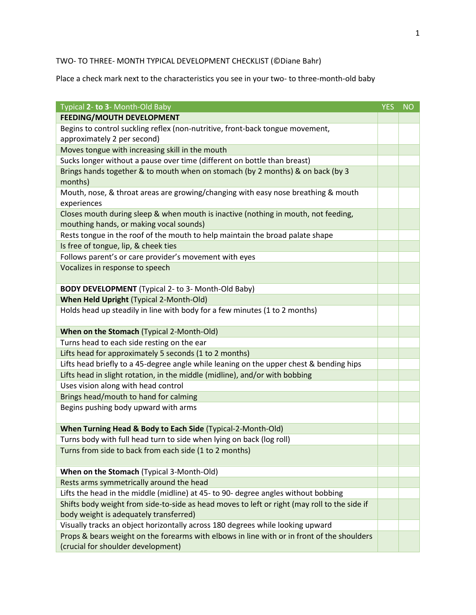## TWO- TO THREE- MONTH TYPICAL DEVELOPMENT CHECKLIST (©Diane Bahr)

Place a check mark next to the characteristics you see in your two- to three-month-old baby

| Typical 2- to 3- Month-Old Baby                                                              | <b>YES</b> | <b>NO</b> |
|----------------------------------------------------------------------------------------------|------------|-----------|
| <b>FEEDING/MOUTH DEVELOPMENT</b>                                                             |            |           |
| Begins to control suckling reflex (non-nutritive, front-back tongue movement,                |            |           |
| approximately 2 per second)                                                                  |            |           |
| Moves tongue with increasing skill in the mouth                                              |            |           |
| Sucks longer without a pause over time (different on bottle than breast)                     |            |           |
| Brings hands together & to mouth when on stomach (by 2 months) & on back (by 3               |            |           |
| months)                                                                                      |            |           |
| Mouth, nose, & throat areas are growing/changing with easy nose breathing & mouth            |            |           |
| experiences                                                                                  |            |           |
| Closes mouth during sleep & when mouth is inactive (nothing in mouth, not feeding,           |            |           |
| mouthing hands, or making vocal sounds)                                                      |            |           |
| Rests tongue in the roof of the mouth to help maintain the broad palate shape                |            |           |
| Is free of tongue, lip, & cheek ties                                                         |            |           |
| Follows parent's or care provider's movement with eyes                                       |            |           |
| Vocalizes in response to speech                                                              |            |           |
|                                                                                              |            |           |
| <b>BODY DEVELOPMENT</b> (Typical 2- to 3- Month-Old Baby)                                    |            |           |
| <b>When Held Upright (Typical 2-Month-Old)</b>                                               |            |           |
| Holds head up steadily in line with body for a few minutes (1 to 2 months)                   |            |           |
|                                                                                              |            |           |
| When on the Stomach (Typical 2-Month-Old)                                                    |            |           |
| Turns head to each side resting on the ear                                                   |            |           |
| Lifts head for approximately 5 seconds (1 to 2 months)                                       |            |           |
| Lifts head briefly to a 45-degree angle while leaning on the upper chest & bending hips      |            |           |
| Lifts head in slight rotation, in the middle (midline), and/or with bobbing                  |            |           |
| Uses vision along with head control                                                          |            |           |
| Brings head/mouth to hand for calming                                                        |            |           |
| Begins pushing body upward with arms                                                         |            |           |
|                                                                                              |            |           |
| When Turning Head & Body to Each Side (Typical-2-Month-Old)                                  |            |           |
| Turns body with full head turn to side when lying on back (log roll)                         |            |           |
| Turns from side to back from each side (1 to 2 months)                                       |            |           |
|                                                                                              |            |           |
| When on the Stomach (Typical 3-Month-Old)                                                    |            |           |
| Rests arms symmetrically around the head                                                     |            |           |
| Lifts the head in the middle (midline) at 45- to 90- degree angles without bobbing           |            |           |
| Shifts body weight from side-to-side as head moves to left or right (may roll to the side if |            |           |
| body weight is adequately transferred)                                                       |            |           |
| Visually tracks an object horizontally across 180 degrees while looking upward               |            |           |
| Props & bears weight on the forearms with elbows in line with or in front of the shoulders   |            |           |
| (crucial for shoulder development)                                                           |            |           |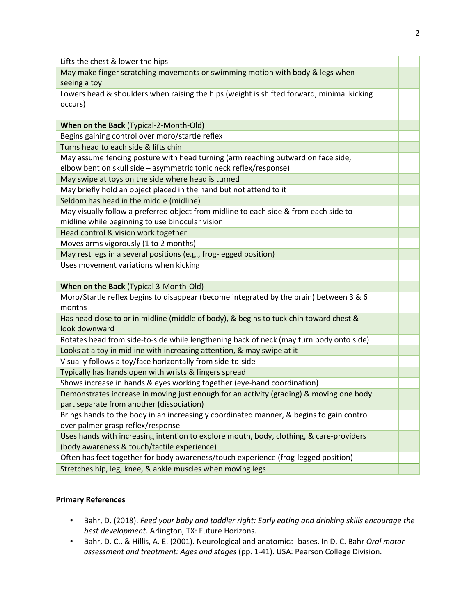| Lifts the chest & lower the hips                                                          |  |
|-------------------------------------------------------------------------------------------|--|
| May make finger scratching movements or swimming motion with body & legs when             |  |
| seeing a toy                                                                              |  |
| Lowers head & shoulders when raising the hips (weight is shifted forward, minimal kicking |  |
| occurs)                                                                                   |  |
|                                                                                           |  |
| When on the Back (Typical-2-Month-Old)                                                    |  |
| Begins gaining control over moro/startle reflex                                           |  |
| Turns head to each side & lifts chin                                                      |  |
| May assume fencing posture with head turning (arm reaching outward on face side,          |  |
| elbow bent on skull side - asymmetric tonic neck reflex/response)                         |  |
| May swipe at toys on the side where head is turned                                        |  |
| May briefly hold an object placed in the hand but not attend to it                        |  |
| Seldom has head in the middle (midline)                                                   |  |
| May visually follow a preferred object from midline to each side & from each side to      |  |
| midline while beginning to use binocular vision                                           |  |
| Head control & vision work together                                                       |  |
| Moves arms vigorously (1 to 2 months)                                                     |  |
| May rest legs in a several positions (e.g., frog-legged position)                         |  |
| Uses movement variations when kicking                                                     |  |
|                                                                                           |  |
| When on the Back (Typical 3-Month-Old)                                                    |  |
| Moro/Startle reflex begins to disappear (become integrated by the brain) between 3 & 6    |  |
| months                                                                                    |  |
| Has head close to or in midline (middle of body), & begins to tuck chin toward chest &    |  |
| look downward                                                                             |  |
| Rotates head from side-to-side while lengthening back of neck (may turn body onto side)   |  |
| Looks at a toy in midline with increasing attention, & may swipe at it                    |  |
| Visually follows a toy/face horizontally from side-to-side                                |  |
| Typically has hands open with wrists & fingers spread                                     |  |
| Shows increase in hands & eyes working together (eye-hand coordination)                   |  |
| Demonstrates increase in moving just enough for an activity (grading) & moving one body   |  |
| part separate from another (dissociation)                                                 |  |
| Brings hands to the body in an increasingly coordinated manner, & begins to gain control  |  |
| over palmer grasp reflex/response                                                         |  |
| Uses hands with increasing intention to explore mouth, body, clothing, & care-providers   |  |
| (body awareness & touch/tactile experience)                                               |  |
| Often has feet together for body awareness/touch experience (frog-legged position)        |  |
| Stretches hip, leg, knee, & ankle muscles when moving legs                                |  |

## **Primary References**

- Bahr, D. (2018). *Feed your baby and toddler right: Early eating and drinking skills encourage the best development.* Arlington, TX: Future Horizons.
- Bahr, D. C., & Hillis, A. E. (2001). Neurological and anatomical bases. In D. C. Bahr *Oral motor assessment and treatment: Ages and stages* (pp. 1-41). USA: Pearson College Division.